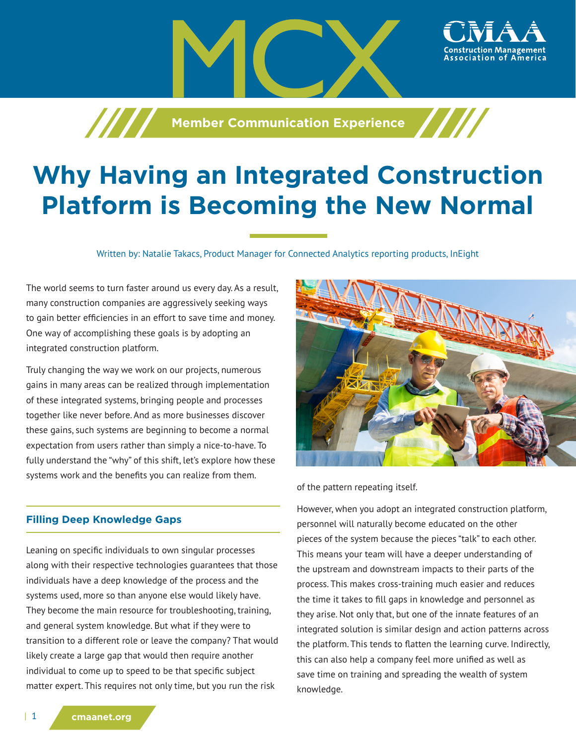**Member Communication Experience** 

# **Why Having an Integrated Construction Platform is Becoming the New Normal**

Written by: Natalie Takacs, Product Manager for Connected Analytics reporting products, InEight

The world seems to turn faster around us every day. As a result, many construction companies are aggressively seeking ways to gain better efficiencies in an effort to save time and money. One way of accomplishing these goals is by adopting an integrated construction platform.

Truly changing the way we work on our projects, numerous gains in many areas can be realized through implementation of these integrated systems, bringing people and processes together like never before. And as more businesses discover these gains, such systems are beginning to become a normal expectation from users rather than simply a nice-to-have. To fully understand the "why" of this shift, let's explore how these systems work and the benefits you can realize from them.

## **Filling Deep Knowledge Gaps**

Leaning on specific individuals to own singular processes along with their respective technologies guarantees that those individuals have a deep knowledge of the process and the systems used, more so than anyone else would likely have. They become the main resource for troubleshooting, training, and general system knowledge. But what if they were to transition to a different role or leave the company? That would likely create a large gap that would then require another individual to come up to speed to be that specific subject matter expert. This requires not only time, but you run the risk



ssociation of

of the pattern repeating itself.

However, when you adopt an integrated construction platform, personnel will naturally become educated on the other pieces of the system because the pieces "talk" to each other. This means your team will have a deeper understanding of the upstream and downstream impacts to their parts of the process. This makes cross-training much easier and reduces the time it takes to fill gaps in knowledge and personnel as they arise. Not only that, but one of the innate features of an integrated solution is similar design and action patterns across the platform. This tends to flatten the learning curve. Indirectly, this can also help a company feel more unified as well as save time on training and spreading the wealth of system knowledge.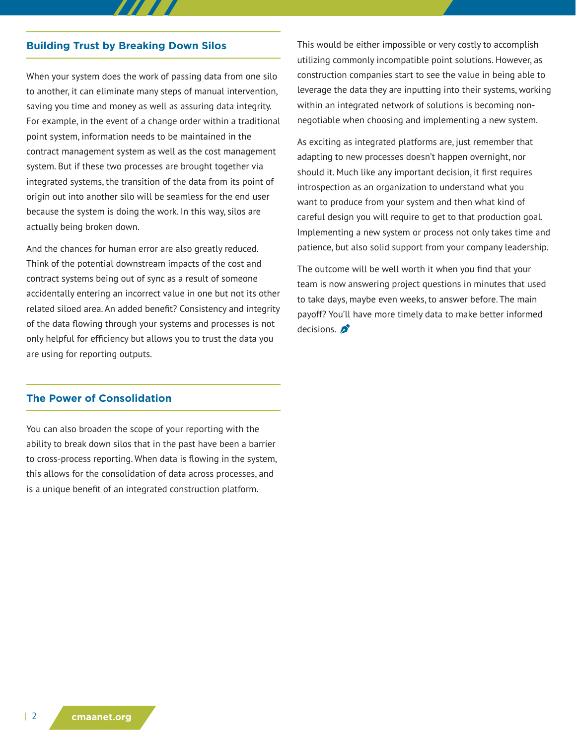#### **Building Trust by Breaking Down Silos**

When your system does the work of passing data from one silo to another, it can eliminate many steps of manual intervention, saving you time and money as well as assuring data integrity. For example, in the event of a change order within a traditional point system, information needs to be maintained in the contract management system as well as the cost management system. But if these two processes are brought together via integrated systems, the transition of the data from its point of origin out into another silo will be seamless for the end user because the system is doing the work. In this way, silos are actually being broken down.

And the chances for human error are also greatly reduced. Think of the potential downstream impacts of the cost and contract systems being out of sync as a result of someone accidentally entering an incorrect value in one but not its other related siloed area. An added benefit? Consistency and integrity of the data flowing through your systems and processes is not only helpful for efficiency but allows you to trust the data you are using for reporting outputs.

This would be either impossible or very costly to accomplish utilizing commonly incompatible point solutions. However, as construction companies start to see the value in being able to leverage the data they are inputting into their systems, working within an integrated network of solutions is becoming nonnegotiable when choosing and implementing a new system.

As exciting as integrated platforms are, just remember that adapting to new processes doesn't happen overnight, nor should it. Much like any important decision, it first requires introspection as an organization to understand what you want to produce from your system and then what kind of careful design you will require to get to that production goal. Implementing a new system or process not only takes time and patience, but also solid support from your company leadership.

The outcome will be well worth it when you find that your team is now answering project questions in minutes that used to take days, maybe even weeks, to answer before. The main payoff? You'll have more timely data to make better informed decisions.

### **The Power of Consolidation**

You can also broaden the scope of your reporting with the ability to break down silos that in the past have been a barrier to cross-process reporting. When data is flowing in the system, this allows for the consolidation of data across processes, and is a unique benefit of an integrated construction platform.